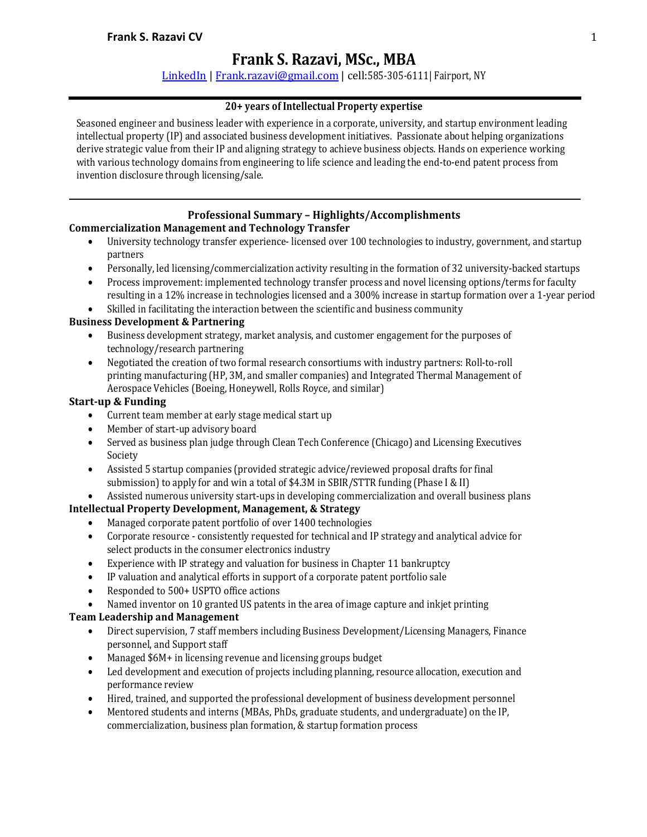# **Frank S. Razavi, MSc., MBA**

LinkedIn | Frank.razavi@gmail.com | cell:585-305-6111| Fairport, NY

### **20+ years of Intellectual Property expertise**

Seasoned engineer and business leader with experience in a corporate, university, and startup environment leading intellectual property (IP) and associated business development initiatives. Passionate about helping organizations derive strategic value from their IP and aligning strategy to achieve business objects. Hands on experience working with various technology domains from engineering to life science and leading the end-to-end patent process from invention disclosure through licensing/sale.

### **Professional Summary – Highlights/Accomplishments**

### **Commercialization Management and Technology Transfer**

- University technology transfer experience- licensed over 100 technologies to industry, government, and startup partners
- Personally, led licensing/commercialization activity resulting in the formation of 32 university-backed startups
- Process improvement: implemented technology transfer process and novel licensing options/terms for faculty resulting in a 12% increase in technologies licensed and a 300% increase in startup formation over a 1-year period
- Skilled in facilitating the interaction between the scientific and business community

### **Business Development & Partnering**

- Business development strategy, market analysis, and customer engagement for the purposes of technology/research partnering
- Negotiated the creation of two formal research consortiums with industry partners: Roll-to-roll printing manufacturing (HP, 3M, and smaller companies) and Integrated Thermal Management of Aerospace Vehicles (Boeing, Honeywell, Rolls Royce, and similar)

### **Start-up & Funding**

- Current team member at early stage medical start up
- Member of start-up advisory board
- Served as business plan judge through Clean Tech Conference (Chicago) and Licensing Executives Society
- Assisted 5 startup companies (provided strategic advice/reviewed proposal drafts for final submission) to apply for and win a total of \$4.3M in SBIR/STTR funding (Phase I & II)
- Assisted numerous university start-ups in developing commercialization and overall business plans

# **Intellectual Property Development, Management, & Strategy**

- Managed corporate patent portfolio of over 1400 technologies
- Corporate resource consistently requested for technical and IP strategy and analytical advice for select products in the consumer electronics industry
- Experience with IP strategy and valuation for business in Chapter 11 bankruptcy
- IP valuation and analytical efforts in support of a corporate patent portfolio sale
- Responded to 500+ USPTO office actions
- Named inventor on 10 granted US patents in the area of image capture and inkjet printing

# **Team Leadership and Management**

- Direct supervision, 7 staff members including Business Development/Licensing Managers, Finance personnel, and Support staff
- Managed \$6M+ in licensing revenue and licensing groups budget
- Led development and execution of projects including planning, resource allocation, execution and performance review
- Hired, trained, and supported the professional development of business development personnel
- Mentored students and interns (MBAs, PhDs, graduate students, and undergraduate) on the IP. commercialization, business plan formation, & startup formation process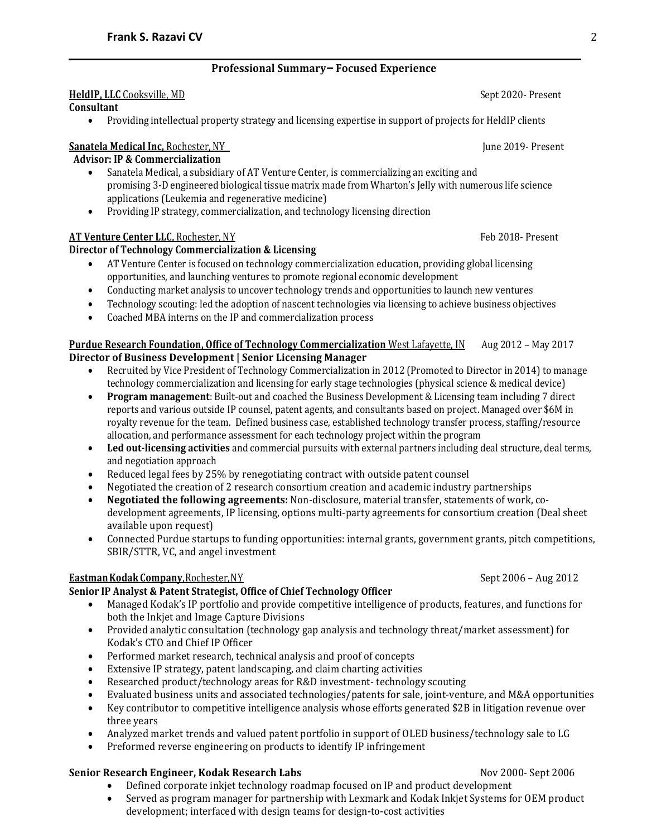# **Professional Summary– Focused Experience**

### **HeldIP, LLC** Cooksville, MD Sept 2020- Present

**Consultant**

• Providing intellectual property strategy and licensing expertise in support of projects for HeldIP clients

# **Sanatela Medical Inc, Rochester, NY** And All Andreas and All Andreas and All Andreas and Tune 2019- Present

# **Advisor: IP & Commercialization**

- Sanatela Medical, a subsidiary of AT Venture Center, is commercializing an exciting and promising 3-D engineered biological tissue matrix made from Wharton's Jelly with numerous life science applications (Leukemia and regenerative medicine)
- Providing IP strategy, commercialization, and technology licensing direction

# **AT Venture Center LLC,** Rochester, NY Feb 2018- Present

# **Director of Technology Commercialization & Licensing**

- AT Venture Center is focused on technology commercialization education, providing global licensing opportunities, and launching ventures to promote regional economic development
- Conducting market analysis to uncover technology trends and opportunities to launch new ventures
- Technology scouting: led the adoption of nascent technologies via licensing to achieve business objectives
- Coached MBA interns on the IP and commercialization process

# **Purdue Research Foundation, Office of Technology Commercialization** West Lafayette, IN Aug 2012 – May 2017

# **Director of Business Development | Senior Licensing Manager**

- Recruited by Vice President of Technology Commercialization in 2012 (Promoted to Director in 2014) to manage technology commercialization and licensing for early stage technologies (physical science & medical device)
- **Program management**: Built-out and coached the Business Development & Licensing team including 7 direct reports and various outside IP counsel, patent agents, and consultants based on project. Managed over \$6M in royalty revenue for the team. Defined business case, established technology transfer process, staffing/resource allocation, and performance assessment for each technology project within the program
- Led out-licensing activities and commercial pursuits with external partners including deal structure, deal terms, and negotiation approach
- Reduced legal fees by 25% by renegotiating contract with outside patent counsel
- Negotiated the creation of 2 research consortium creation and academic industry partnerships
- **Negotiated the following agreements:** Non-disclosure, material transfer, statements of work, codevelopment agreements, IP licensing, options multi-party agreements for consortium creation (Deal sheet available upon request)
- Connected Purdue startups to funding opportunities: internal grants, government grants, pitch competitions, SBIR/STTR, VC, and angel investment

# **Eastman Kodak Company**, Rochester, NY Sept 2006 – Aug 2012

# **Senior IP Analyst & Patent Strategist, Office of Chief Technology Officer**

- Managed Kodak's IP portfolio and provide competitive intelligence of products, features, and functions for both the Inkjet and Image Capture Divisions
- Provided analytic consultation (technology gap analysis and technology threat/market assessment) for Kodak's CTO and Chief IP Officer
- Performed market research, technical analysis and proof of concepts
- Extensive IP strategy, patent landscaping, and claim charting activities
- Researched product/technology areas for R&D investment- technology scouting
- Evaluated business units and associated technologies/patents for sale, joint-venture, and M&A opportunities
- Key contributor to competitive intelligence analysis whose efforts generated \$2B in litigation revenue over three years
- Analyzed market trends and valued patent portfolio in support of OLED business/technology sale to LG
- Preformed reverse engineering on products to identify IP infringement

### **Senior Research Engineer, Kodak Research Labs** Nov 2000- Sept 2006

- Defined corporate inkjet technology roadmap focused on IP and product development
- Served as program manager for partnership with Lexmark and Kodak Inkjet Systems for OEM product development; interfaced with design teams for design-to-cost activities